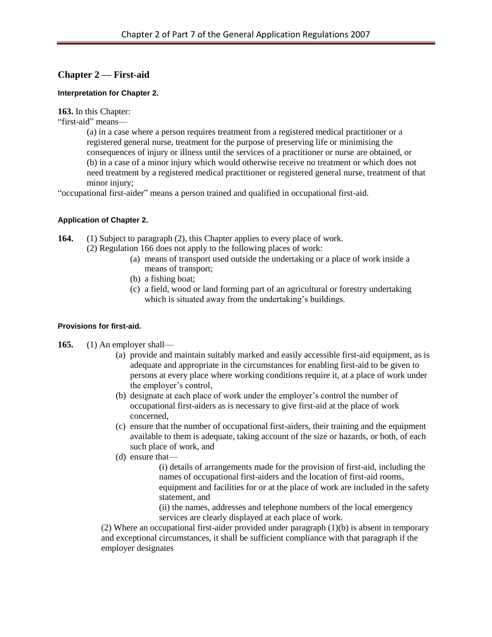# **Chapter 2 — First-aid**

#### **Interpretation for Chapter 2.**

**163.** In this Chapter:

"first-aid" means—

(a) in a case where a person requires treatment from a registered medical practitioner or a registered general nurse, treatment for the purpose of preserving life or minimising the consequences of injury or illness until the services of a practitioner or nurse are obtained, or (b) in a case of a minor injury which would otherwise receive no treatment or which does not need treatment by a registered medical practitioner or registered general nurse, treatment of that minor injury:

"occupational first-aider" means a person trained and qualified in occupational first-aid.

### **Application of Chapter 2.**

- **164.** (1) Subject to paragraph (2), this Chapter applies to every place of work.
	- (2) Regulation 166 does not apply to the following places of work:
		- (a) means of transport used outside the undertaking or a place of work inside a means of transport;
		- (b) a fishing boat;
		- (c) a field, wood or land forming part of an agricultural or forestry undertaking which is situated away from the undertaking's buildings.

#### **Provisions for first-aid.**

- **165.** (1) An employer shall—
	- (a) provide and maintain suitably marked and easily accessible first-aid equipment, as is adequate and appropriate in the circumstances for enabling first-aid to be given to persons at every place where working conditions require it, at a place of work under the employer's control,
	- (b) designate at each place of work under the employer's control the number of occupational first-aiders as is necessary to give first-aid at the place of work concerned,
	- (c) ensure that the number of occupational first-aiders, their training and the equipment available to them is adequate, taking account of the size or hazards, or both, of each such place of work, and
	- (d) ensure that—

(i) details of arrangements made for the provision of first-aid, including the names of occupational first-aiders and the location of first-aid rooms, equipment and facilities for or at the place of work are included in the safety statement, and

(ii) the names, addresses and telephone numbers of the local emergency services are clearly displayed at each place of work.

(2) Where an occupational first-aider provided under paragraph (1)(b) is absent in temporary and exceptional circumstances, it shall be sufficient compliance with that paragraph if the employer designates